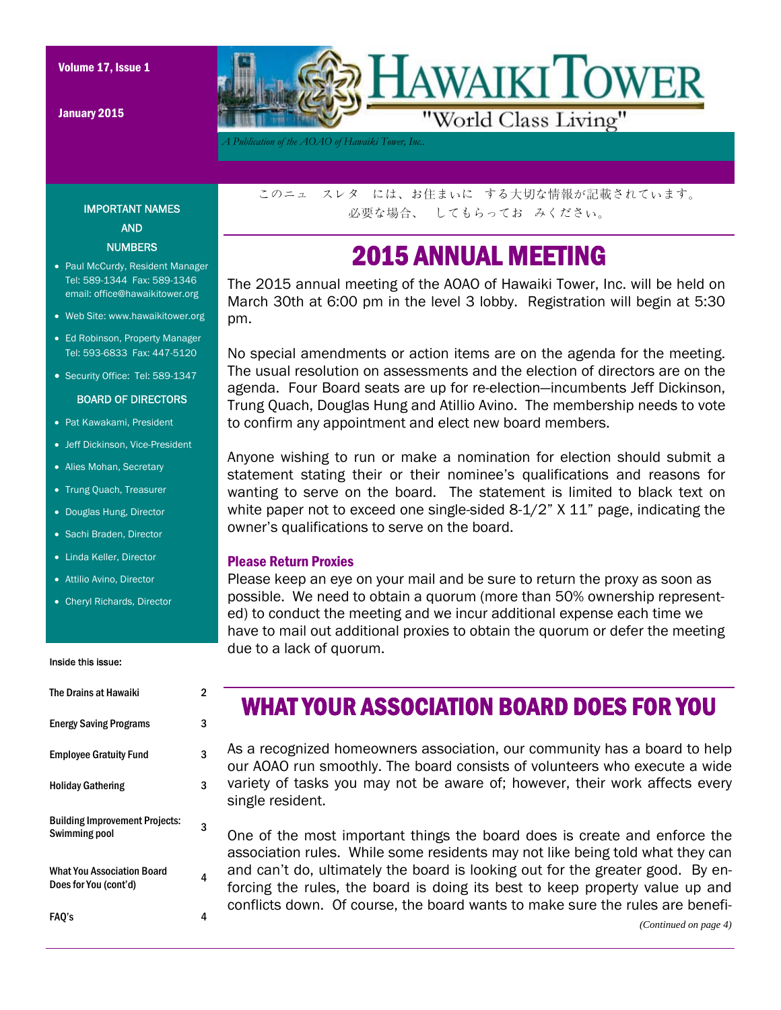Volume 17, Issue 1

January 2015



*A Publication of the AOAO of Hawaiki Tower, Inc..* 

IMPORTANT NAMES AND NUMBERS

- Paul McCurdy, Resident Manager Tel: 589-1344 Fax: 589-1346 email: office@hawaikitower.org
- Web Site: www.hawaikitower.org
- Ed Robinson, Property Manager Tel: 593-6833 Fax: 447-5120
- Security Office: Tel: 589-1347

#### BOARD OF DIRECTORS

- Pat Kawakami, President
- Jeff Dickinson, Vice-President
- Alies Mohan, Secretary
- Trung Quach, Treasurer
- Douglas Hung, Director
- Sachi Braden, Director
- Linda Keller, Director
- Attilio Avino, Director
- Cheryl Richards, Director

#### Inside this issue:

| The Drains at Hawaiki                                  | 2 |
|--------------------------------------------------------|---|
| <b>Energy Saving Programs</b>                          | 3 |
| <b>Employee Gratuity Fund</b>                          | 3 |
| <b>Holiday Gathering</b>                               | 3 |
| <b>Building Improvement Projects:</b><br>Swimming pool | 3 |
| What You Association Board<br>Does for You (cont'd)    | Δ |
| FAO's                                                  |   |

このニュ スレタ には、お住まいに する大切な情報が記載されています。 必要な場合、 してもらってお みください。

## 2015 ANNUAL MEETING

The 2015 annual meeting of the AOAO of Hawaiki Tower, Inc. will be held on March 30th at 6:00 pm in the level 3 lobby. Registration will begin at 5:30 pm.

No special amendments or action items are on the agenda for the meeting. The usual resolution on assessments and the election of directors are on the agenda. Four Board seats are up for re-election—incumbents Jeff Dickinson, Trung Quach, Douglas Hung and Atillio Avino. The membership needs to vote to confirm any appointment and elect new board members.

Anyone wishing to run or make a nomination for election should submit a statement stating their or their nominee's qualifications and reasons for wanting to serve on the board. The statement is limited to black text on white paper not to exceed one single-sided 8-1/2" X 11" page, indicating the owner's qualifications to serve on the board.

### Please Return Proxies

Please keep an eye on your mail and be sure to return the proxy as soon as possible. We need to obtain a quorum (more than 50% ownership represented) to conduct the meeting and we incur additional expense each time we have to mail out additional proxies to obtain the quorum or defer the meeting due to a lack of quorum.

### WHAT YOUR ASSOCIATION BOARD DOES FOR YOU

As a recognized homeowners association, our community has a board to help our AOAO run smoothly. The board consists of volunteers who execute a wide variety of tasks you may not be aware of; however, their work affects every single resident.

One of the most important things the board does is create and enforce the association rules. While some residents may not like being told what they can and can't do, ultimately the board is looking out for the greater good. By enforcing the rules, the board is doing its best to keep property value up and conflicts down. Of course, the board wants to make sure the rules are benefi-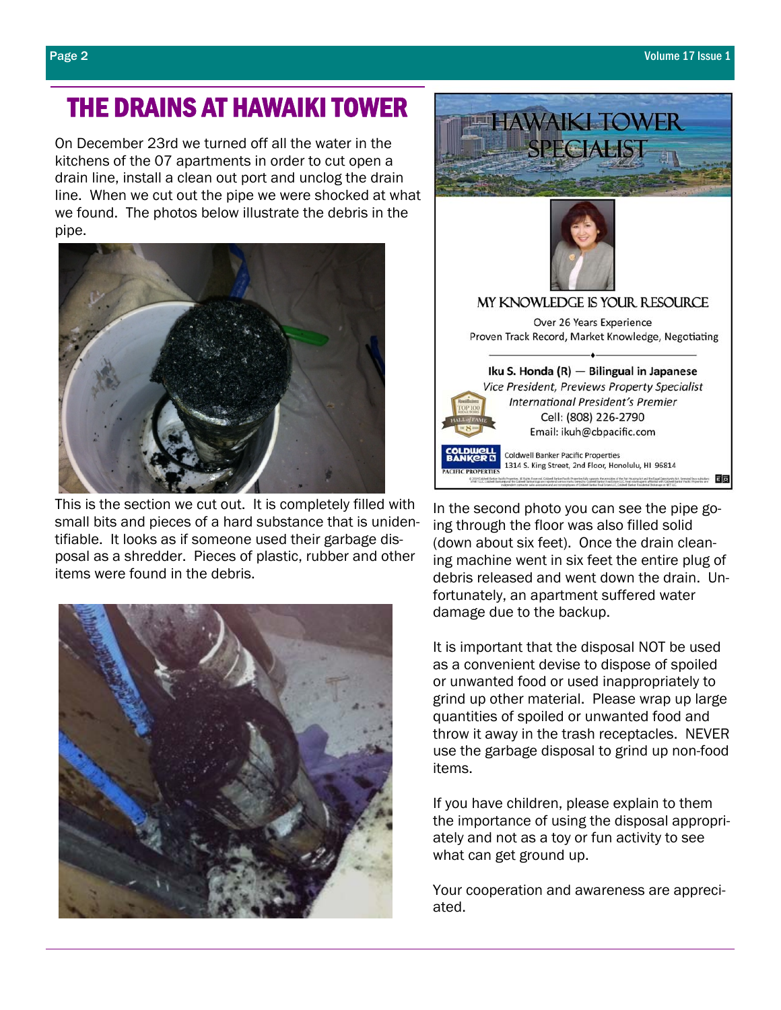## THE DRAINS AT HAWAIKI TOWER

On December 23rd we turned off all the water in the kitchens of the 07 apartments in order to cut open a drain line, install a clean out port and unclog the drain line. When we cut out the pipe we were shocked at what we found. The photos below illustrate the debris in the pipe.



 This is the section we cut out. It is completely filled with small bits and pieces of a hard substance that is unidentifiable. It looks as if someone used their garbage disposal as a shredder. Pieces of plastic, rubber and other items were found in the debris.





In the second photo you can see the pipe going through the floor was also filled solid (down about six feet). Once the drain cleaning machine went in six feet the entire plug of debris released and went down the drain. Unfortunately, an apartment suffered water damage due to the backup.

It is important that the disposal NOT be used as a convenient devise to dispose of spoiled or unwanted food or used inappropriately to grind up other material. Please wrap up large quantities of spoiled or unwanted food and throw it away in the trash receptacles. NEVER use the garbage disposal to grind up non-food items.

If you have children, please explain to them the importance of using the disposal appropriately and not as a toy or fun activity to see what can get ground up.

Your cooperation and awareness are appreciated.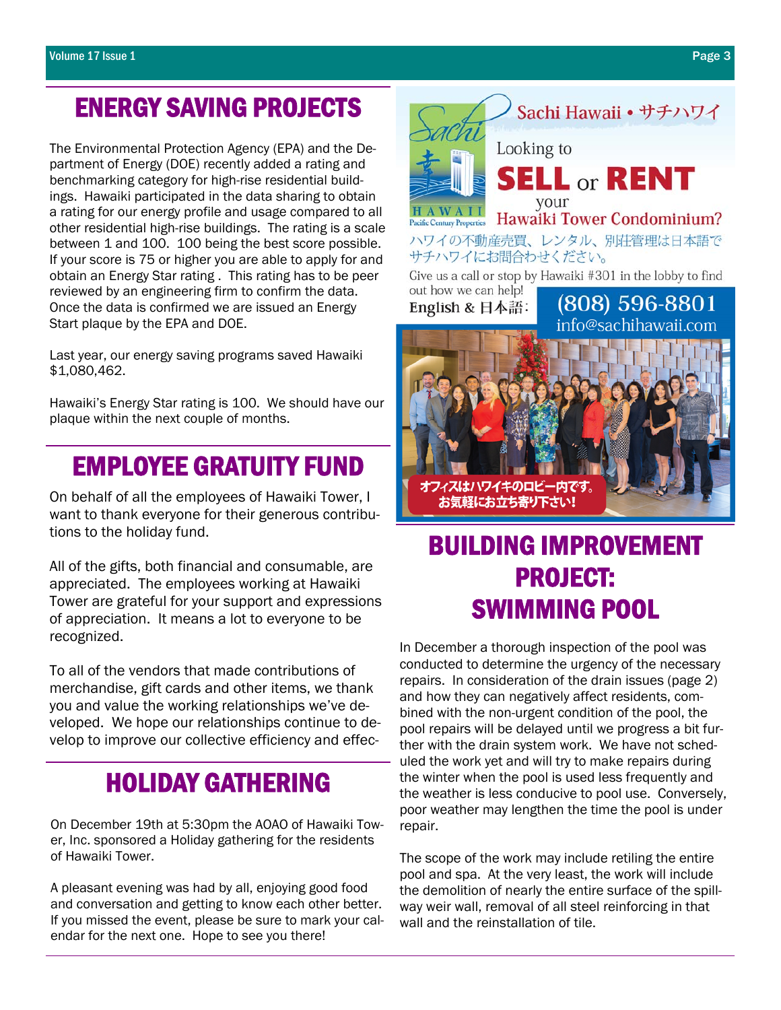## ENERGY SAVING PROJECTS

The Environmental Protection Agency (EPA) and the Department of Energy (DOE) recently added a rating and benchmarking category for high-rise residential buildings. Hawaiki participated in the data sharing to obtain a rating for our energy profile and usage compared to all other residential high-rise buildings. The rating is a scale between 1 and 100. 100 being the best score possible. If your score is 75 or higher you are able to apply for and obtain an Energy Star rating . This rating has to be peer reviewed by an engineering firm to confirm the data. Once the data is confirmed we are issued an Energy Start plaque by the EPA and DOE.

Last year, our energy saving programs saved Hawaiki \$1,080,462.

Hawaiki's Energy Star rating is 100. We should have our plaque within the next couple of months.

## EMPLOYEE GRATUITY FUND

On behalf of all the employees of Hawaiki Tower, I want to thank everyone for their generous contributions to the holiday fund.

All of the gifts, both financial and consumable, are appreciated. The employees working at Hawaiki Tower are grateful for your support and expressions of appreciation. It means a lot to everyone to be recognized.

To all of the vendors that made contributions of merchandise, gift cards and other items, we thank you and value the working relationships we've developed. We hope our relationships continue to develop to improve our collective efficiency and effec-

## HOLIDAY GATHERING

On December 19th at 5:30pm the AOAO of Hawaiki Tower, Inc. sponsored a Holiday gathering for the residents of Hawaiki Tower.

A pleasant evening was had by all, enjoying good food and conversation and getting to know each other better. If you missed the event, please be sure to mark your calendar for the next one. Hope to see you there!



# BUILDING IMPROVEMENT PROJECT: SWIMMING POOL

In December a thorough inspection of the pool was conducted to determine the urgency of the necessary repairs. In consideration of the drain issues (page 2) and how they can negatively affect residents, combined with the non-urgent condition of the pool, the pool repairs will be delayed until we progress a bit further with the drain system work. We have not scheduled the work yet and will try to make repairs during the winter when the pool is used less frequently and the weather is less conducive to pool use. Conversely, poor weather may lengthen the time the pool is under repair.

The scope of the work may include retiling the entire pool and spa. At the very least, the work will include the demolition of nearly the entire surface of the spillway weir wall, removal of all steel reinforcing in that wall and the reinstallation of tile.